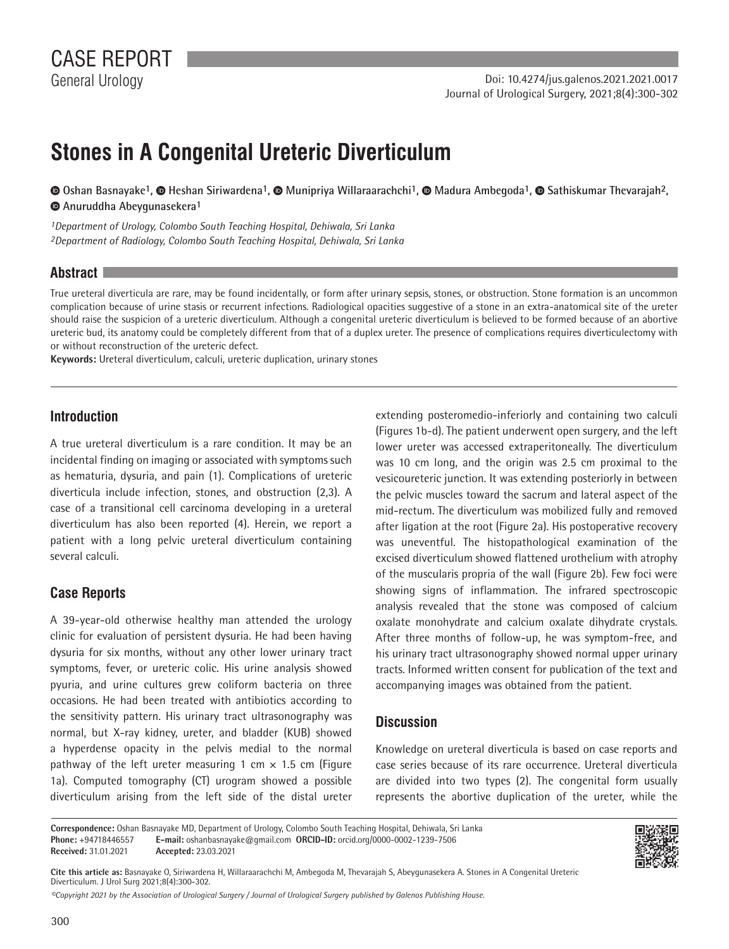# **Stones in A Congenital Ureteric Diverticulum**

 **Oshan Basnayake1,Heshan Siriwardena1,Munipriya Willaraarachchi1,Madura Ambegoda1, Sathiskumar Thevarajah2, Anuruddha Abeygunasekera1**

*1Department of Urology, Colombo South Teaching Hospital, Dehiwala, Sri Lanka 2Department of Radiology, Colombo South Teaching Hospital, Dehiwala, Sri Lanka*

### **Abstract**

True ureteral diverticula are rare, may be found incidentally, or form after urinary sepsis, stones, or obstruction. Stone formation is an uncommon complication because of urine stasis or recurrent infections. Radiological opacities suggestive of a stone in an extra-anatomical site of the ureter should raise the suspicion of a ureteric diverticulum. Although a congenital ureteric diverticulum is believed to be formed because of an abortive ureteric bud, its anatomy could be completely different from that of a duplex ureter. The presence of complications requires diverticulectomy with or without reconstruction of the ureteric defect.

**Keywords:** Ureteral diverticulum, calculi, ureteric duplication, urinary stones

## **Introduction**

A true ureteral diverticulum is a rare condition. It may be an incidental finding on imaging or associated with symptoms such as hematuria, dysuria, and pain (1). Complications of ureteric diverticula include infection, stones, and obstruction (2,3). A case of a transitional cell carcinoma developing in a ureteral diverticulum has also been reported (4). Herein, we report a patient with a long pelvic ureteral diverticulum containing several calculi.

## **Case Reports**

A 39-year-old otherwise healthy man attended the urology clinic for evaluation of persistent dysuria. He had been having dysuria for six months, without any other lower urinary tract symptoms, fever, or ureteric colic. His urine analysis showed pyuria, and urine cultures grew coliform bacteria on three occasions. He had been treated with antibiotics according to the sensitivity pattern. His urinary tract ultrasonography was normal, but X-ray kidney, ureter, and bladder (KUB) showed a hyperdense opacity in the pelvis medial to the normal pathway of the left ureter measuring 1 cm  $\times$  1.5 cm (Figure 1a). Computed tomography (CT) urogram showed a possible diverticulum arising from the left side of the distal ureter

extending posteromedio-inferiorly and containing two calculi (Figures 1b-d). The patient underwent open surgery, and the left lower ureter was accessed extraperitoneally. The diverticulum was 10 cm long, and the origin was 2.5 cm proximal to the vesicoureteric junction. It was extending posteriorly in between the pelvic muscles toward the sacrum and lateral aspect of the mid-rectum. The diverticulum was mobilized fully and removed after ligation at the root (Figure 2a). His postoperative recovery was uneventful. The histopathological examination of the excised diverticulum showed flattened urothelium with atrophy of the muscularis propria of the wall (Figure 2b). Few foci were showing signs of inflammation. The infrared spectroscopic analysis revealed that the stone was composed of calcium oxalate monohydrate and calcium oxalate dihydrate crystals. After three months of follow-up, he was symptom-free, and his urinary tract ultrasonography showed normal upper urinary tracts. Informed written consent for publication of the text and accompanying images was obtained from the patient.

## **Discussion**

Knowledge on ureteral diverticula is based on case reports and case series because of its rare occurrence. Ureteral diverticula are divided into two types (2). The congenital form usually represents the abortive duplication of the ureter, while the

**Correspondence:** Oshan Basnayake MD, Department of Urology, Colombo South Teaching Hospital, Dehiwala, Sri Lanka **Phone:** +94718446557 **E-mail:** oshanbasnayake@gmail.com **ORCID-ID:** orcid.org/0000-0002-1239-7506 **Received:** 31.01.2021 **Accepted:** 23.03.2021



**Cite this article as:** Basnayake O, Siriwardena H, Willaraarachchi M, Ambegoda M, Thevarajah S, Abeygunasekera A. Stones in A Congenital Ureteric Diverticulum. J Urol Surg 2021;8(4):300-302.

*©Copyright 2021 by the Association of Urological Surgery / Journal of Urological Surgery published by Galenos Publishing House.*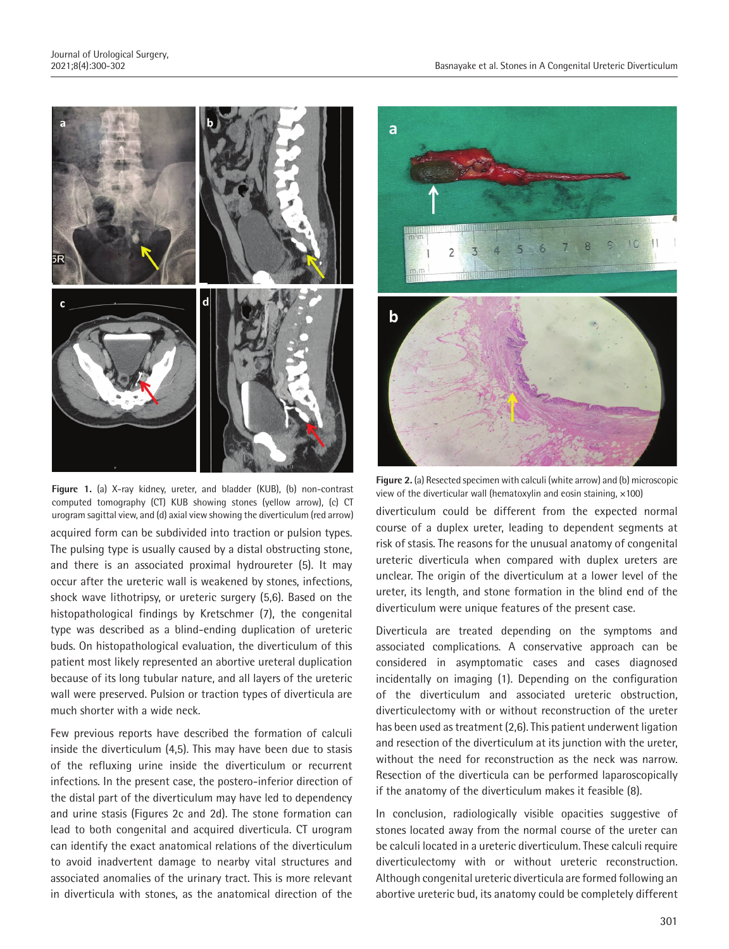

acquired form can be subdivided into traction or pulsion types. The pulsing type is usually caused by a distal obstructing stone, and there is an associated proximal hydroureter (5). It may occur after the ureteric wall is weakened by stones, infections, shock wave lithotripsy, or ureteric surgery (5,6). Based on the histopathological findings by Kretschmer (7), the congenital type was described as a blind-ending duplication of ureteric buds. On histopathological evaluation, the diverticulum of this patient most likely represented an abortive ureteral duplication because of its long tubular nature, and all layers of the ureteric wall were preserved. Pulsion or traction types of diverticula are much shorter with a wide neck. **Figure 1.** (a) X-ray kidney, ureter, and bladder (KUB), (b) non-contrast computed tomography (CT) KUB showing stones (yellow arrow), (c) CT urogram sagittal view, and (d) axial view showing the diverticulum (red arrow)

Few previous reports have described the formation of calculi inside the diverticulum (4,5). This may have been due to stasis of the refluxing urine inside the diverticulum or recurrent infections. In the present case, the postero-inferior direction of the distal part of the diverticulum may have led to dependency and urine stasis (Figures 2c and 2d). The stone formation can lead to both congenital and acquired diverticula. CT urogram can identify the exact anatomical relations of the diverticulum to avoid inadvertent damage to nearby vital structures and associated anomalies of the urinary tract. This is more relevant in diverticula with stones, as the anatomical direction of the



**Figure 2.** (a) Resected specimen with calculi (white arrow) and (b) microscopic view of the diverticular wall (hematoxylin and eosin staining,  $\times$ 100)

diverticulum could be different from the expected normal course of a duplex ureter, leading to dependent segments at risk of stasis. The reasons for the unusual anatomy of congenital ureteric diverticula when compared with duplex ureters are unclear. The origin of the diverticulum at a lower level of the ureter, its length, and stone formation in the blind end of the diverticulum were unique features of the present case.

Diverticula are treated depending on the symptoms and associated complications. A conservative approach can be considered in asymptomatic cases and cases diagnosed incidentally on imaging (1). Depending on the configuration of the diverticulum and associated ureteric obstruction, diverticulectomy with or without reconstruction of the ureter has been used as treatment (2,6). This patient underwent ligation and resection of the diverticulum at its junction with the ureter, without the need for reconstruction as the neck was narrow. Resection of the diverticula can be performed laparoscopically if the anatomy of the diverticulum makes it feasible (8).

In conclusion, radiologically visible opacities suggestive of stones located away from the normal course of the ureter can be calculi located in a ureteric diverticulum. These calculi require diverticulectomy with or without ureteric reconstruction. Although congenital ureteric diverticula are formed following an abortive ureteric bud, its anatomy could be completely different